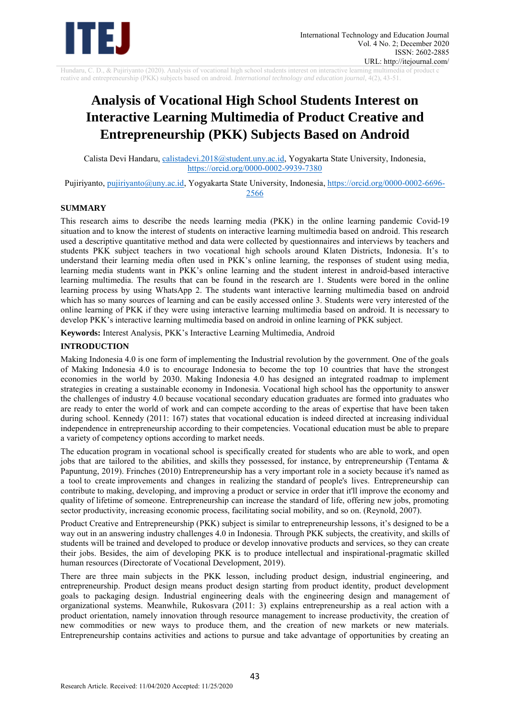

Hundaru, C. D., & Pujiriyanto (2020). Analysis of vocational high school students interest on interactive learning multimedia of product c reative and entrepreneurship (PKK) subjects based on android. *International technology and education journal,* 4(2), 43-51.

# **Analysis of Vocational High School Students Interest on Interactive Learning Multimedia of Product Creative and Entrepreneurship (PKK) Subjects Based on Android**

Calista Devi Handaru, [calistadevi.2018@student.uny.ac.id,](mailto:calistadevi.2018@student.uny.ac.id) Yogyakarta State University, Indonesia, <https://orcid.org/0000-0002-9939-7380>

Pujiriyanto, [pujiriyanto@uny.ac.id,](mailto:pujiriyanto@uny.ac.id) Yogyakarta State University, Indonesia, [https://orcid.org/0000-0002-6696-](https://orcid.org/0000-0002-6696-2566) [2566](https://orcid.org/0000-0002-6696-2566)

### **SUMMARY**

This research aims to describe the needs learning media (PKK) in the online learning pandemic Covid-19 situation and to know the interest of students on interactive learning multimedia based on android. This research used a descriptive quantitative method and data were collected by questionnaires and interviews by teachers and students PKK subject teachers in two vocational high schools around Klaten Districts, Indonesia. It's to understand their learning media often used in PKK's online learning, the responses of student using media, learning media students want in PKK's online learning and the student interest in android-based interactive learning multimedia. The results that can be found in the research are 1. Students were bored in the online learning process by using WhatsApp 2. The students want interactive learning multimedia based on android which has so many sources of learning and can be easily accessed online 3. Students were very interested of the online learning of PKK if they were using interactive learning multimedia based on android. It is necessary to develop PKK's interactive learning multimedia based on android in online learning of PKK subject.

**Keywords:** Interest Analysis, PKK's Interactive Learning Multimedia, Android

# **INTRODUCTION**

Making Indonesia 4.0 is one form of implementing the Industrial revolution by the government. One of the goals of Making Indonesia 4.0 is to encourage Indonesia to become the top 10 countries that have the strongest economies in the world by 2030. Making Indonesia 4.0 has designed an integrated roadmap to implement strategies in creating a sustainable economy in Indonesia. Vocational high school has the opportunity to answer the challenges of industry 4.0 because vocational secondary education graduates are formed into graduates who are ready to enter the world of work and can compete according to the areas of expertise that have been taken during school. Kennedy (2011: 167) states that vocational education is indeed directed at increasing individual independence in entrepreneurship according to their competencies. Vocational education must be able to prepare a variety of competency options according to market needs.

The education program in vocational school is specifically created for students who are able to work, and open jobs that are tailored to the abilities, and skills they possessed, for instance, by entrepreneurship (Tentama & Papuntung, 2019). Frinches (2010) Entrepreneurship has a very important role in a society because it's named as a tool to create improvements and changes in realizing the standard of people's lives. Entrepreneurship can contribute to making, developing, and improving a product or service in order that it'll improve the economy and quality of lifetime of someone. Entrepreneurship can increase the standard of life, offering new jobs, promoting sector productivity, increasing economic process, facilitating social mobility, and so on. (Reynold, 2007).

Product Creative and Entrepreneurship (PKK) subject is similar to entrepreneurship lessons, it's designed to be a way out in an answering industry challenges 4.0 in Indonesia. Through PKK subjects, the creativity, and skills of students will be trained and developed to produce or develop innovative products and services, so they can create their jobs. Besides, the aim of developing PKK is to produce intellectual and inspirational-pragmatic skilled human resources (Directorate of Vocational Development, 2019).

There are three main subjects in the PKK lesson, including product design, industrial engineering, and entrepreneurship. Product design means product design starting from product identity, product development goals to packaging design. Industrial engineering deals with the engineering design and management of organizational systems. Meanwhile, Rukosvara (2011: 3) explains entrepreneurship as a real action with a product orientation, namely innovation through resource management to increase productivity, the creation of new commodities or new ways to produce them, and the creation of new markets or new materials. Entrepreneurship contains activities and actions to pursue and take advantage of opportunities by creating an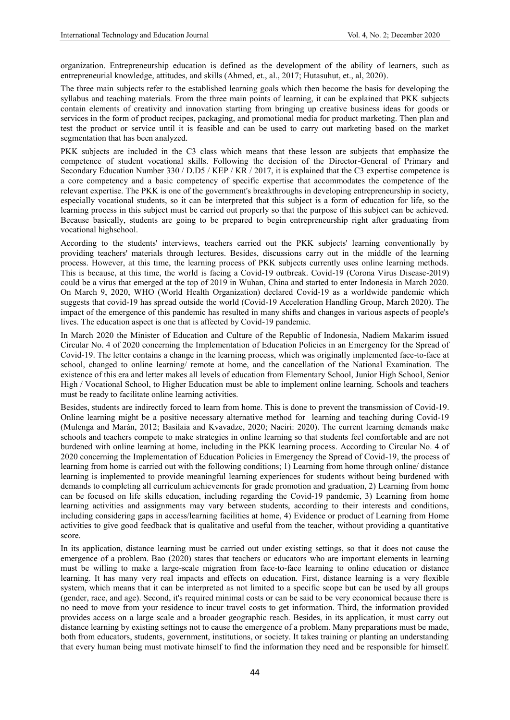organization. Entrepreneurship education is defined as the development of the ability of learners, such as entrepreneurial knowledge, attitudes, and skills (Ahmed, et., al., 2017; Hutasuhut, et., al, 2020).

The three main subjects refer to the established learning goals which then become the basis for developing the syllabus and teaching materials. From the three main points of learning, it can be explained that PKK subjects contain elements of creativity and innovation starting from bringing up creative business ideas for goods or services in the form of product recipes, packaging, and promotional media for product marketing. Then plan and test the product or service until it is feasible and can be used to carry out marketing based on the market segmentation that has been analyzed.

PKK subjects are included in the C3 class which means that these lesson are subjects that emphasize the competence of student vocational skills. Following the decision of the Director-General of Primary and Secondary Education Number 330 / D.D5 / KEP / KR / 2017, it is explained that the C3 expertise competence is a core competency and a basic competency of specific expertise that accommodates the competence of the relevant expertise. The PKK is one of the government's breakthroughs in developing entrepreneurship in society, especially vocational students, so it can be interpreted that this subject is a form of education for life, so the learning process in this subject must be carried out properly so that the purpose of this subject can be achieved. Because basically, students are going to be prepared to begin entrepreneurship right after graduating from vocational highschool.

According to the students' interviews, teachers carried out the PKK subjects' learning conventionally by providing teachers' materials through lectures. Besides, discussions carry out in the middle of the learning process. However, at this time, the learning process of PKK subjects currently uses online learning methods. This is because, at this time, the world is facing a Covid-19 outbreak. Covid-19 (Corona Virus Disease-2019) could be a virus that emerged at the top of 2019 in Wuhan, China and started to enter Indonesia in March 2020. On March 9, 2020, WHO (World Health Organization) declared Covid-19 as a worldwide pandemic which suggests that covid-19 has spread outside the world (Covid-19 Acceleration Handling Group, March 2020). The impact of the emergence of this pandemic has resulted in many shifts and changes in various aspects of people's lives. The education aspect is one that is affected by Covid-19 pandemic.

In March 2020 the Minister of Education and Culture of the Republic of Indonesia, Nadiem Makarim issued Circular No. 4 of 2020 concerning the Implementation of Education Policies in an Emergency for the Spread of Covid-19. The letter contains a change in the learning process, which was originally implemented face-to-face at school, changed to online learning/ remote at home, and the cancellation of the National Examination. The existence of this era and letter makes all levels of education from Elementary School, Junior High School, Senior High / Vocational School, to Higher Education must be able to implement online learning. Schools and teachers must be ready to facilitate online learning activities.

Besides, students are indirectly forced to learn from home. This is done to prevent the transmission of Covid-19. Online learning might be a positive necessary alternative method for learning and teaching during Covid-19 (Mulenga and Marán, 2012; Basilaia and Kvavadze, 2020; Naciri: 2020). The current learning demands make schools and teachers compete to make strategies in online learning so that students feel comfortable and are not burdened with online learning at home, including in the PKK learning process. According to Circular No. 4 of 2020 concerning the Implementation of Education Policies in Emergency the Spread of Covid-19, the process of learning from home is carried out with the following conditions; 1) Learning from home through online/ distance learning is implemented to provide meaningful learning experiences for students without being burdened with demands to completing all curriculum achievements for grade promotion and graduation, 2) Learning from home can be focused on life skills education, including regarding the Covid-19 pandemic, 3) Learning from home learning activities and assignments may vary between students, according to their interests and conditions, including considering gaps in access/learning facilities at home, 4) Evidence or product of Learning from Home activities to give good feedback that is qualitative and useful from the teacher, without providing a quantitative score.

In its application, distance learning must be carried out under existing settings, so that it does not cause the emergence of a problem. Bao (2020) states that teachers or educators who are important elements in learning must be willing to make a large-scale migration from face-to-face learning to online education or distance learning. It has many very real impacts and effects on education. First, distance learning is a very flexible system, which means that it can be interpreted as not limited to a specific scope but can be used by all groups (gender, race, and age). Second, it's required minimal costs or can be said to be very economical because there is no need to move from your residence to incur travel costs to get information. Third, the information provided provides access on a large scale and a broader geographic reach. Besides, in its application, it must carry out distance learning by existing settings not to cause the emergence of a problem. Many preparations must be made, both from educators, students, government, institutions, or society. It takes training or planting an understanding that every human being must motivate himself to find the information they need and be responsible for himself.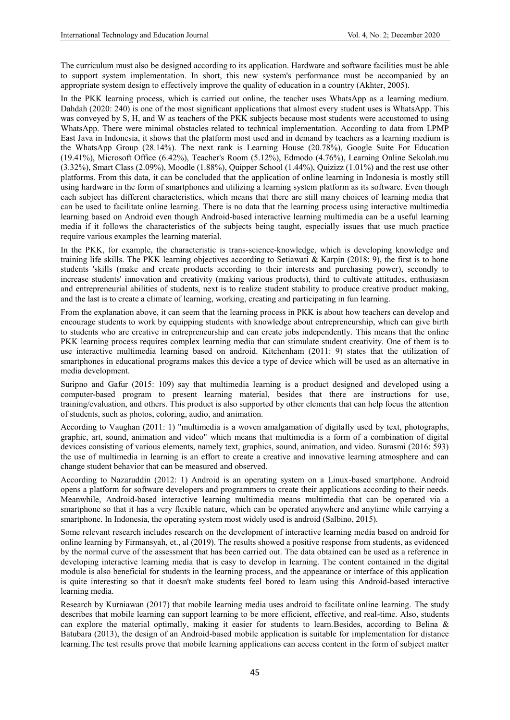The curriculum must also be designed according to its application. Hardware and software facilities must be able to support system implementation. In short, this new system's performance must be accompanied by an appropriate system design to effectively improve the quality of education in a country (Akhter, 2005).

In the PKK learning process, which is carried out online, the teacher uses WhatsApp as a learning medium. Dahdah (2020: 240) is one of the most significant applications that almost every student uses is WhatsApp. This was conveyed by S, H, and W as teachers of the PKK subjects because most students were accustomed to using WhatsApp. There were minimal obstacles related to technical implementation. According to data from LPMP East Java in Indonesia, it shows that the platform most used and in demand by teachers as a learning medium is the WhatsApp Group (28.14%). The next rank is Learning House (20.78%), Google Suite For Education (19.41%), Microsoft Office (6.42%), Teacher's Room (5.12%), Edmodo (4.76%), Learning Online Sekolah.mu  $(3.32\%)$ , Smart Class  $(2.09\%)$ , Moodle  $(1.88\%)$ , Quipper School  $(1.44\%)$ , Quizizz  $(1.01\%)$  and the rest use other platforms. From this data, it can be concluded that the application of online learning in Indonesia is mostly still using hardware in the form of smartphones and utilizing a learning system platform as its software. Even though each subject has different characteristics, which means that there are still many choices of learning media that can be used to facilitate online learning. There is no data that the learning process using interactive multimedia learning based on Android even though Android-based interactive learning multimedia can be a useful learning media if it follows the characteristics of the subjects being taught, especially issues that use much practice require various examples the learning material.

In the PKK, for example, the characteristic is trans-science-knowledge, which is developing knowledge and training life skills. The PKK learning objectives according to Setiawati & Karpin (2018: 9), the first is to hone students 'skills (make and create products according to their interests and purchasing power), secondly to increase students' innovation and creativity (making various products), third to cultivate attitudes, enthusiasm and entrepreneurial abilities of students, next is to realize student stability to produce creative product making, and the last is to create a climate of learning, working, creating and participating in fun learning.

From the explanation above, it can seem that the learning process in PKK is about how teachers can develop and encourage students to work by equipping students with knowledge about entrepreneurship, which can give birth to students who are creative in entrepreneurship and can create jobs independently. This means that the online PKK learning process requires complex learning media that can stimulate student creativity. One of them is to use interactive multimedia learning based on android. Kitchenham (2011: 9) states that the utilization of smartphones in educational programs makes this device a type of device which will be used as an alternative in media development.

Suripno and Gafur (2015: 109) say that multimedia learning is a product designed and developed using a computer-based program to present learning material, besides that there are instructions for use, training/evaluation, and others. This product is also supported by other elements that can help focus the attention of students, such as photos, coloring, audio, and animation.

According to Vaughan (2011: 1) "multimedia is a woven amalgamation of digitally used by text, photographs, graphic, art, sound, animation and video" which means that multimedia is a form of a combination of digital devices consisting of various elements, namely text, graphics, sound, animation, and video. Surasmi (2016: 593) the use of multimedia in learning is an effort to create a creative and innovative learning atmosphere and can change student behavior that can be measured and observed.

According to Nazaruddin (2012: 1) Android is an operating system on a Linux-based smartphone. Android opens a platform for software developers and programmers to create their applications according to their needs. Meanwhile, Android-based interactive learning multimedia means multimedia that can be operated via a smartphone so that it has a very flexible nature, which can be operated anywhere and anytime while carrying a smartphone. In Indonesia, the operating system most widely used is android (Salbino, 2015).

Some relevant research includes research on the development of interactive learning media based on android for online learning by Firmansyah, et., al (2019). The results showed a positive response from students, as evidenced by the normal curve of the assessment that has been carried out. The data obtained can be used as a reference in developing interactive learning media that is easy to develop in learning. The content contained in the digital module is also beneficial for students in the learning process, and the appearance or interface of this application is quite interesting so that it doesn't make students feel bored to learn using this Android-based interactive learning media.

Research by Kurniawan (2017) that mobile learning media uses android to facilitate online learning. The study describes that mobile learning can support learning to be more efficient, effective, and real-time. Also, students can explore the material optimally, making it easier for students to learn. Besides, according to Belina  $\&$ Batubara (2013), the design of an Android-based mobile application is suitable for implementation for distance learning.The test results prove that mobile learning applications can access content in the form of subject matter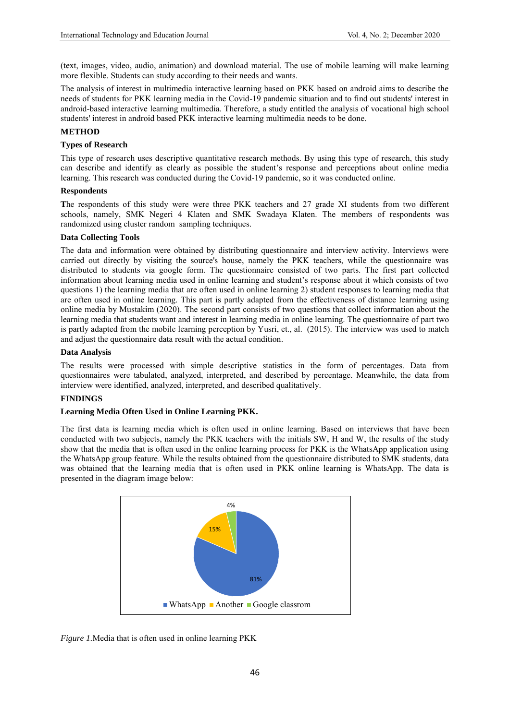(text, images, video, audio, animation) and download material. The use of mobile learning will make learning more flexible. Students can study according to their needs and wants.

The analysis of interest in multimedia interactive learning based on PKK based on android aims to describe the needs of students for PKK learning media in the Covid-19 pandemic situation and to find out students' interest in android-based interactive learning multimedia. Therefore, a study entitled the analysis of vocational high school students' interest in android based PKK interactive learning multimedia needs to be done.

### **METHOD**

# **Types of Research**

This type of research uses descriptive quantitative research methods. By using this type of research, this study can describe and identify as clearly as possible the student's response and perceptions about online media learning. This research was conducted during the Covid-19 pandemic, so it was conducted online.

### **Respondents**

**T**he respondents of this study were were three PKK teachers and 27 grade XI students from two different schools, namely, SMK Negeri 4 Klaten and SMK Swadaya Klaten. The members of respondents was randomized using cluster random sampling techniques.

#### **Data Collecting Tools**

The data and information were obtained by distributing questionnaire and interview activity. Interviews were carried out directly by visiting the source's house, namely the PKK teachers, while the questionnaire was distributed to students via google form. The questionnaire consisted of two parts. The first part collected information about learning media used in online learning and student's response about it which consists of two questions 1) the learning media that are often used in online learning 2) student responses to learning media that are often used in online learning. This part is partly adapted from the effectiveness of distance learning using online media by Mustakim (2020). The second part consists of two questions that collect information about the learning media that students want and interest in learning media in online learning. The questionnaire of part two is partly adapted from the mobile learning perception by Yusri, et., al. (2015). The interview was used to match and adjust the questionnaire data result with the actual condition.

#### **Data Analysis**

The results were processed with simple descriptive statistics in the form of percentages. Data from questionnaires were tabulated, analyzed, interpreted, and described by percentage. Meanwhile, the data from interview were identified, analyzed, interpreted, and described qualitatively.

### **FINDINGS**

### **Learning Media Often Used in Online Learning PKK.**

The first data is learning media which is often used in online learning. Based on interviews that have been conducted with two subjects, namely the PKK teachers with the initials SW, H and W, the results of the study show that the media that is often used in the online learning process for PKK is the WhatsApp application using the WhatsApp group feature. While the results obtained from the questionnaire distributed to SMK students, data was obtained that the learning media that is often used in PKK online learning is WhatsApp. The data is presented in the diagram image below:



*Figure 1.*Media that is often used in online learning PKK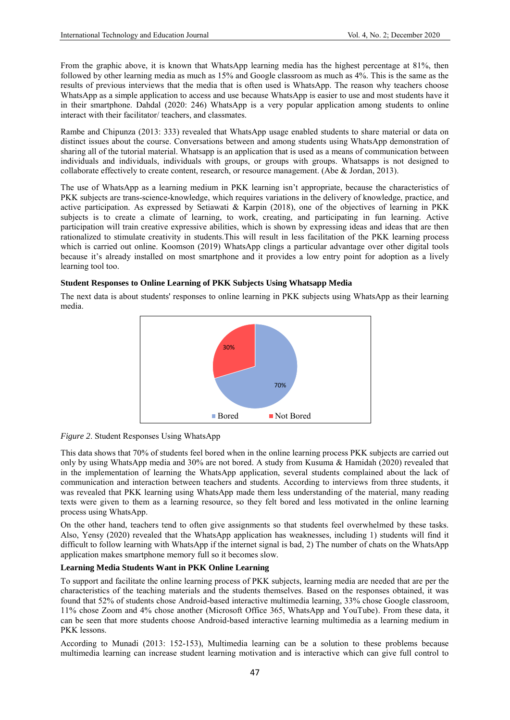From the graphic above, it is known that WhatsApp learning media has the highest percentage at 81%, then followed by other learning media as much as 15% and Google classroom as much as 4%. This is the same as the results of previous interviews that the media that is often used is WhatsApp. The reason why teachers choose WhatsApp as a simple application to access and use because WhatsApp is easier to use and most students have it in their smartphone. Dahdal (2020: 246) WhatsApp is a very popular application among students to online interact with their facilitator/ teachers, and classmates.

Rambe and Chipunza (2013: 333) revealed that WhatsApp usage enabled students to share material or data on distinct issues about the course. Conversations between and among students using WhatsApp demonstration of sharing all of the tutorial material. Whatsapp is an application that is used as a means of communication between individuals and individuals, individuals with groups, or groups with groups. Whatsapps is not designed to collaborate effectively to create content, research, or resource management. (Abe & Jordan, 2013).

The use of WhatsApp as a learning medium in PKK learning isn't appropriate, because the characteristics of PKK subjects are trans-science-knowledge, which requires variations in the delivery of knowledge, practice, and active participation. As expressed by Setiawati & Karpin (2018), one of the objectives of learning in PKK subjects is to create a climate of learning, to work, creating, and participating in fun learning. Active participation will train creative expressive abilities, which is shown by expressing ideas and ideas that are then rationalized to stimulate creativity in students.This will result in less facilitation of the PKK learning process which is carried out online. Koomson (2019) WhatsApp clings a particular advantage over other digital tools because it's already installed on most smartphone and it provides a low entry point for adoption as a lively learning tool too.

### **Student Responses to Online Learning of PKK Subjects Using Whatsapp Media**

The next data is about students' responses to online learning in PKK subjects using WhatsApp as their learning media.





This data shows that 70% of students feel bored when in the online learning process PKK subjects are carried out only by using WhatsApp media and 30% are not bored. A study from Kusuma & Hamidah (2020) revealed that in the implementation of learning the WhatsApp application, several students complained about the lack of communication and interaction between teachers and students. According to interviews from three students, it was revealed that PKK learning using WhatsApp made them less understanding of the material, many reading texts were given to them as a learning resource, so they felt bored and less motivated in the online learning process using WhatsApp.

On the other hand, teachers tend to often give assignments so that students feel overwhelmed by these tasks. Also, Yensy (2020) revealed that the WhatsApp application has weaknesses, including 1) students will find it difficult to follow learning with WhatsApp if the internet signal is bad, 2) The number of chats on the WhatsApp application makes smartphone memory full so it becomes slow.

### **Learning Media Students Want in PKK Online Learning**

To support and facilitate the online learning process of PKK subjects, learning media are needed that are per the characteristics of the teaching materials and the students themselves. Based on the responses obtained, it was found that 52% of students chose Android-based interactive multimedia learning, 33% chose Google classroom, 11% chose Zoom and 4% chose another (Microsoft Office 365, WhatsApp and YouTube). From these data, it can be seen that more students choose Android-based interactive learning multimedia as a learning medium in PKK lessons.

According to Munadi (2013: 152-153), Multimedia learning can be a solution to these problems because multimedia learning can increase student learning motivation and is interactive which can give full control to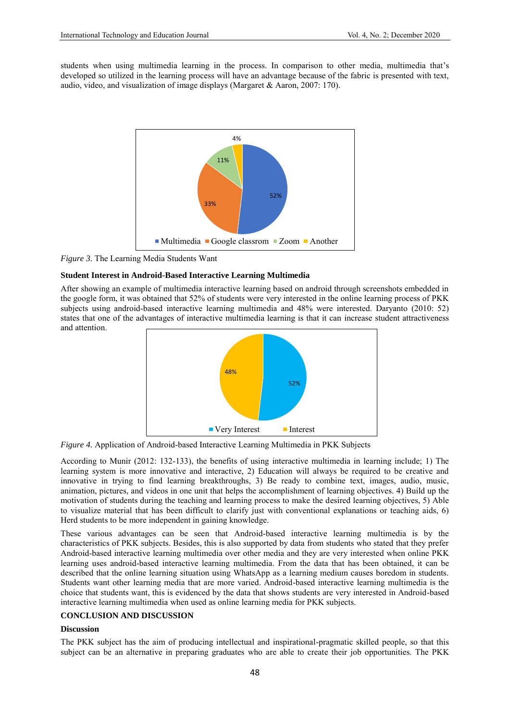students when using multimedia learning in the process. In comparison to other media, multimedia that's developed so utilized in the learning process will have an advantage because of the fabric is presented with text, audio, video, and visualization of image displays (Margaret & Aaron, 2007: 170).



*Figure 3.* The Learning Media Students Want

# **Student Interest in Android-Based Interactive Learning Multimedia**

After showing an example of multimedia interactive learning based on android through screenshots embedded in the google form, it was obtained that 52% of students were very interested in the online learning process of PKK subjects using android-based interactive learning multimedia and 48% were interested. Daryanto (2010: 52) states that one of the advantages of interactive multimedia learning is that it can increase student attractiveness and attention.



*Figure 4.* Application of Android-based Interactive Learning Multimedia in PKK Subjects

According to Munir (2012: 132-133), the benefits of using interactive multimedia in learning include; 1) The learning system is more innovative and interactive, 2) Education will always be required to be creative and innovative in trying to find learning breakthroughs, 3) Be ready to combine text, images, audio, music, animation, pictures, and videos in one unit that helps the accomplishment of learning objectives. 4) Build up the motivation of students during the teaching and learning process to make the desired learning objectives, 5) Able to visualize material that has been difficult to clarify just with conventional explanations or teaching aids, 6) Herd students to be more independent in gaining knowledge.

These various advantages can be seen that Android-based interactive learning multimedia is by the characteristics of PKK subjects. Besides, this is also supported by data from students who stated that they prefer Android-based interactive learning multimedia over other media and they are very interested when online PKK learning uses android-based interactive learning multimedia. From the data that has been obtained, it can be described that the online learning situation using WhatsApp as a learning medium causes boredom in students. Students want other learning media that are more varied. Android-based interactive learning multimedia is the choice that students want, this is evidenced by the data that shows students are very interested in Android-based interactive learning multimedia when used as online learning media for PKK subjects.

### **CONCLUSION AND DISCUSSION**

### **Discussion**

The PKK subject has the aim of producing intellectual and inspirational-pragmatic skilled people, so that this subject can be an alternative in preparing graduates who are able to create their job opportunities. The PKK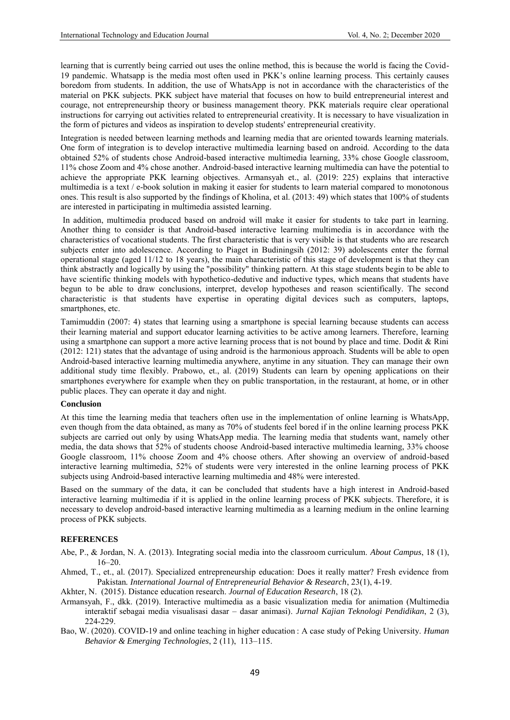learning that is currently being carried out uses the online method, this is because the world is facing the Covid-19 pandemic. Whatsapp is the media most often used in PKK's online learning process. This certainly causes boredom from students. In addition, the use of WhatsApp is not in accordance with the characteristics of the material on PKK subjects. PKK subject have material that focuses on how to build entrepreneurial interest and courage, not entrepreneurship theory or business management theory. PKK materials require clear operational instructions for carrying out activities related to entrepreneurial creativity. It is necessary to have visualization in the form of pictures and videos as inspiration to develop students' entrepreneurial creativity.

Integration is needed between learning methods and learning media that are oriented towards learning materials. One form of integration is to develop interactive multimedia learning based on android. According to the data obtained 52% of students chose Android-based interactive multimedia learning, 33% chose Google classroom, 11% chose Zoom and 4% chose another. Android-based interactive learning multimedia can have the potential to achieve the appropriate PKK learning objectives. Armansyah et., al. (2019: 225) explains that interactive multimedia is a text / e-book solution in making it easier for students to learn material compared to monotonous ones. This result is also supported by the findings of Kholina, et al. (2013: 49) which states that 100% of students are interested in participating in multimedia assisted learning.

In addition, multimedia produced based on android will make it easier for students to take part in learning. Another thing to consider is that Android-based interactive learning multimedia is in accordance with the characteristics of vocational students. The first characteristic that is very visible is that students who are research subjects enter into adolescence. According to Piaget in Budiningsih (2012: 39) adolescents enter the formal operational stage (aged 11/12 to 18 years), the main characteristic of this stage of development is that they can think abstractly and logically by using the "possibility" thinking pattern. At this stage students begin to be able to have scientific thinking models with hypothetico-dedutive and inductive types, which means that students have begun to be able to draw conclusions, interpret, develop hypotheses and reason scientifically. The second characteristic is that students have expertise in operating digital devices such as computers, laptops, smartphones, etc.

Tamimuddin (2007: 4) states that learning using a smartphone is special learning because students can access their learning material and support educator learning activities to be active among learners. Therefore, learning using a smartphone can support a more active learning process that is not bound by place and time. Dodit & Rini (2012: 121) states that the advantage of using android is the harmonious approach. Students will be able to open Android-based interactive learning multimedia anywhere, anytime in any situation. They can manage their own additional study time flexibly. Prabowo, et., al. (2019) Students can learn by opening applications on their smartphones everywhere for example when they on public transportation, in the restaurant, at home, or in other public places. They can operate it day and night.

#### **Conclusion**

At this time the learning media that teachers often use in the implementation of online learning is WhatsApp, even though from the data obtained, as many as 70% of students feel bored if in the online learning process PKK subjects are carried out only by using WhatsApp media. The learning media that students want, namely other media, the data shows that 52% of students choose Android-based interactive multimedia learning, 33% choose Google classroom, 11% choose Zoom and 4% choose others. After showing an overview of android-based interactive learning multimedia, 52% of students were very interested in the online learning process of PKK subjects using Android-based interactive learning multimedia and 48% were interested.

Based on the summary of the data, it can be concluded that students have a high interest in Android-based interactive learning multimedia if it is applied in the online learning process of PKK subjects. Therefore, it is necessary to develop android-based interactive learning multimedia as a learning medium in the online learning process of PKK subjects.

### **REFERENCES**

- Abe, P., & Jordan, N. A. (2013). Integrating social media into the classroom curriculum. *About Campus*, 18 (1), 16–20.
- Ahmed, T., et., al. (2017). Specialized entrepreneurship education: Does it really matter? Fresh evidence from Pakistan*. International Journal of Entrepreneurial Behavior & Research*, 23(1), 4-19.
- Akhter, N. (2015). Distance education research. *Journal of Education Research*, 18 (2).
- Armansyah, F., dkk. (2019). Interactive multimedia as a basic visualization media for animation (Multimedia interaktif sebagai media visualisasi dasar – dasar animasi). *Jurnal Kajian Teknologi Pendidikan*, 2 (3), 224-229.
- Bao, W. (2020). COVID-19 and online teaching in higher education : A case study of Peking University. *Human Behavior & Emerging Technologies*, 2 (11), 113–115.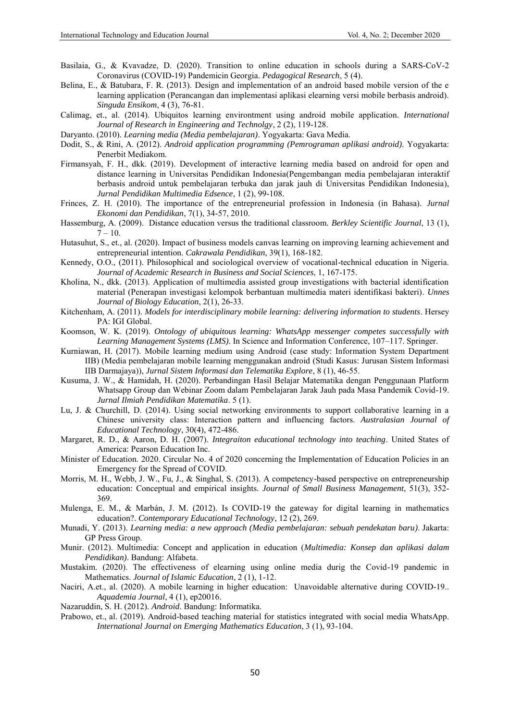- Basilaia, G., & Kvavadze, D. (2020). Transition to online education in schools during a SARS-CoV-2 Coronavirus (COVID-19) Pandemicin Georgia. *Pedagogical Research*, 5 (4).
- Belina, E., & Batubara, F. R. (2013). Design and implementation of an android based mobile version of the e learning application (Perancangan dan implementasi aplikasi elearning versi mobile berbasis android). *Singuda Ensikom*, 4 (3), 76-81.
- Calimag, et., al. (2014). Ubiquitos learning environtment using android mobile application. *International Journal of Research in Engineering and Technolgy*, 2 (2), 119-128.

Daryanto. (2010). *Learning media (Media pembelajaran)*. Yogyakarta: Gava Media.

- Dodit, S., & Rini, A. (2012). *Android application programming (Pemrograman aplikasi android).* Yogyakarta: Penerbit Mediakom.
- Firmansyah, F. H., dkk. (2019). Development of interactive learning media based on android for open and distance learning in Universitas Pendidikan Indonesia(Pengembangan media pembelajaran interaktif berbasis android untuk pembelajaran terbuka dan jarak jauh di Universitas Pendidikan Indonesia), *Jurnal Pendidikan Multimedia Edsence*, 1 (2), 99-108.
- Frinces, Z. H. (2010). The importance of the entrepreneurial profession in Indonesia (in Bahasa). *Jurnal Ekonomi dan Pendidikan*, 7(1), 34-57, 2010.
- Hassemburg, A. (2009). Distance education versus the traditional classroom. *Berkley Scientific Journal*, 13 (1),  $7 - 10$ .
- Hutasuhut, S., et., al. (2020). Impact of business models canvas learning on improving learning achievement and entrepreneurial intention. *Cakrawala Pendidikan*, 39(1), 168-182.
- Kennedy, O.O., (2011). Philosophical and sociological overview of vocational-technical education in Nigeria. *Journal of Academic Research in Business and Social Sciences*, 1, 167-175.
- Kholina, N., dkk. (2013). Application of multimedia assisted group investigations with bacterial identification material (Penerapan investigasi kelompok berbantuan multimedia materi identifikasi bakteri). *Unnes Journal of Biology Education*, 2(1), 26-33.
- Kitchenham, A. (2011). *Models for interdisciplinary mobile learning: delivering information to students*. Hersey PA: IGI Global.
- Koomson, W. K. (2019). *Ontology of ubiquitous learning: WhatsApp messenger competes successfully with Learning Management Systems (LMS)*. In Science and Information Conference, 107–117. Springer.
- Kurniawan, H. (2017). Mobile learning medium using Android (case study: Information System Department IIB) (Media pembelajaran mobile learning menggunakan android (Studi Kasus: Jurusan Sistem Informasi IIB Darmajaya)), *Jurnal Sistem Informasi dan Telematika Explore*, 8 (1), 46-55.
- Kusuma, J. W., & Hamidah, H. (2020). Perbandingan Hasil Belajar Matematika dengan Penggunaan Platform Whatsapp Group dan Webinar Zoom dalam Pembelajaran Jarak Jauh pada Masa Pandemik Covid-19. *Jurnal Ilmiah Pendidikan Matematika*. 5 (1).
- Lu, J. & Churchill, D. (2014). Using social networking environments to support collaborative learning in a Chinese university class: Interaction pattern and influencing factors. *Australasian Journal of Educational Technology*, 30(4), 472-486.
- Margaret, R. D., & Aaron, D. H. (2007). *Integraiton educational technology into teaching*. United States of America: Pearson Education Inc.
- Minister of Education. 2020. Circular No. 4 of 2020 concerning the Implementation of Education Policies in an Emergency for the Spread of COVID.
- Morris, M. H., Webb, J. W., Fu, J., & Singhal, S. (2013). A competency-based perspective on entrepreneurship education: Conceptual and empirical insights. *Journal of Small Business Management*, 51(3), 352- 369.
- Mulenga, E. M., & Marbán, J. M. (2012). Is COVID-19 the gateway for digital learning in mathematics education?. *Contemporary Educational Technology*, 12 (2), 269.
- Munadi, Y. (2013). *Learning media: a new approach (Media pembelajaran: sebuah pendekatan baru)*. Jakarta: GP Press Group.
- Munir. (2012). Multimedia: Concept and application in education (*Multimedia: Konsep dan aplikasi dalam Pendidikan)*. Bandung: Alfabeta.
- Mustakim. (2020). The effectiveness of elearning using online media durig the Covid-19 pandemic in Mathematics. *Journal of Islamic Education*, 2 (1), 1-12.
- Naciri, A.et., al. (2020). A mobile learning in higher education: Unavoidable alternative during COVID-19.. *Aquademia Journal*, 4 (1), ep20016.
- Nazaruddin, S. H. (2012). *Android*. Bandung: Informatika.
- Prabowo, et., al. (2019). Android-based teaching material for statistics integrated with social media WhatsApp. *International Journal on Emerging Mathematics Education*, 3 (1), 93-104.